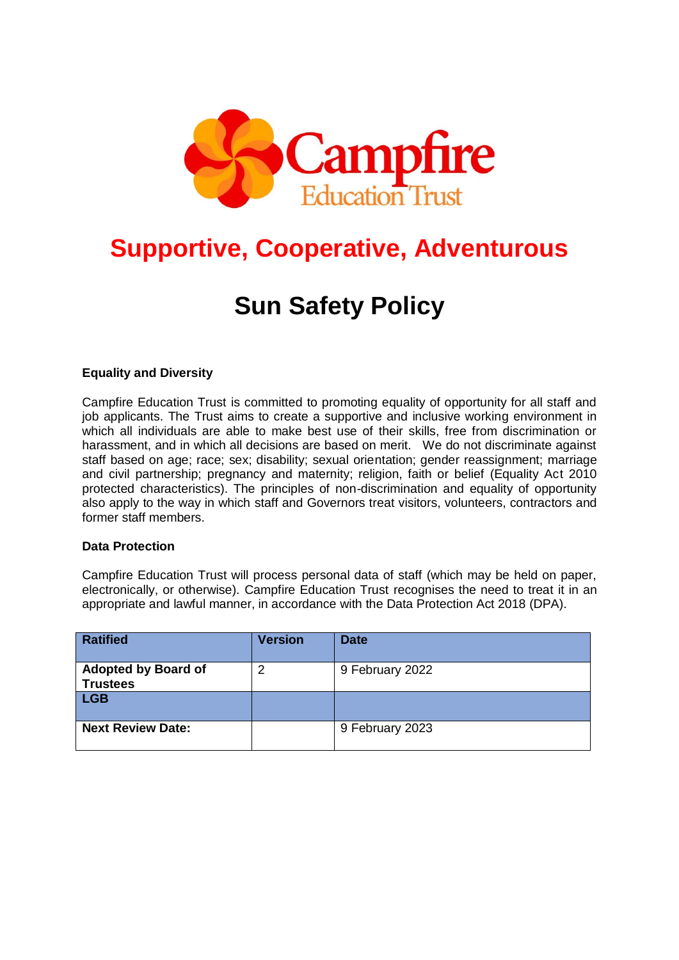

# **Supportive, Cooperative, Adventurous**

# **Sun Safety Policy**

## **Equality and Diversity**

Campfire Education Trust is committed to promoting equality of opportunity for all staff and job applicants. The Trust aims to create a supportive and inclusive working environment in which all individuals are able to make best use of their skills, free from discrimination or harassment, and in which all decisions are based on merit. We do not discriminate against staff based on age; race; sex; disability; sexual orientation; gender reassignment; marriage and civil partnership; pregnancy and maternity; religion, faith or belief (Equality Act 2010 protected characteristics). The principles of non-discrimination and equality of opportunity also apply to the way in which staff and Governors treat visitors, volunteers, contractors and former staff members.

#### **Data Protection**

Campfire Education Trust will process personal data of staff (which may be held on paper, electronically, or otherwise). Campfire Education Trust recognises the need to treat it in an appropriate and lawful manner, in accordance with the Data Protection Act 2018 (DPA).

| <b>Ratified</b>                               | <b>Version</b> | <b>Date</b>     |
|-----------------------------------------------|----------------|-----------------|
| <b>Adopted by Board of</b><br><b>Trustees</b> | າ              | 9 February 2022 |
| <b>LGB</b>                                    |                |                 |
| <b>Next Review Date:</b>                      |                | 9 February 2023 |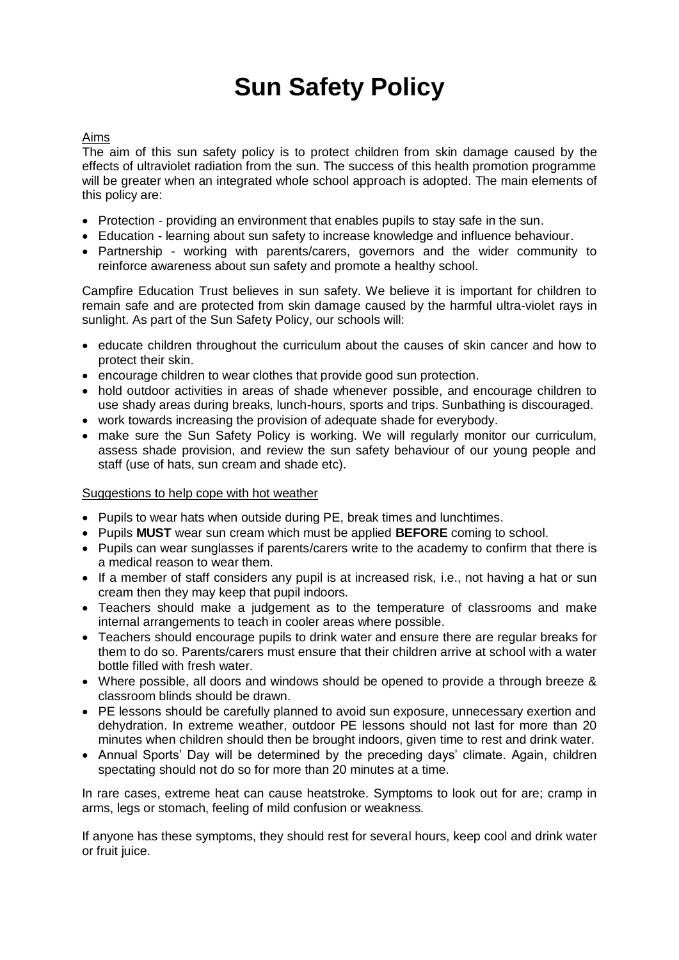# **Sun Safety Policy**

### Aims

The aim of this sun safety policy is to protect children from skin damage caused by the effects of ultraviolet radiation from the sun. The success of this health promotion programme will be greater when an integrated whole school approach is adopted. The main elements of this policy are:

- Protection providing an environment that enables pupils to stay safe in the sun.
- Education learning about sun safety to increase knowledge and influence behaviour.
- Partnership working with parents/carers, governors and the wider community to reinforce awareness about sun safety and promote a healthy school.

Campfire Education Trust believes in sun safety. We believe it is important for children to remain safe and are protected from skin damage caused by the harmful ultra-violet rays in sunlight. As part of the Sun Safety Policy, our schools will:

- educate children throughout the curriculum about the causes of skin cancer and how to protect their skin.
- encourage children to wear clothes that provide good sun protection.
- hold outdoor activities in areas of shade whenever possible, and encourage children to use shady areas during breaks, lunch-hours, sports and trips. Sunbathing is discouraged.
- work towards increasing the provision of adequate shade for everybody.
- make sure the Sun Safety Policy is working. We will regularly monitor our curriculum, assess shade provision, and review the sun safety behaviour of our young people and staff (use of hats, sun cream and shade etc).

### Suggestions to help cope with hot weather

- Pupils to wear hats when outside during PE, break times and lunchtimes.
- Pupils **MUST** wear sun cream which must be applied **BEFORE** coming to school.
- Pupils can wear sunglasses if parents/carers write to the academy to confirm that there is a medical reason to wear them.
- If a member of staff considers any pupil is at increased risk, i.e., not having a hat or sun cream then they may keep that pupil indoors.
- Teachers should make a judgement as to the temperature of classrooms and make internal arrangements to teach in cooler areas where possible.
- Teachers should encourage pupils to drink water and ensure there are regular breaks for them to do so. Parents/carers must ensure that their children arrive at school with a water bottle filled with fresh water.
- Where possible, all doors and windows should be opened to provide a through breeze & classroom blinds should be drawn.
- PE lessons should be carefully planned to avoid sun exposure, unnecessary exertion and dehydration. In extreme weather, outdoor PE lessons should not last for more than 20 minutes when children should then be brought indoors, given time to rest and drink water.
- Annual Sports' Day will be determined by the preceding days' climate. Again, children spectating should not do so for more than 20 minutes at a time.

In rare cases, extreme heat can cause heatstroke. Symptoms to look out for are; cramp in arms, legs or stomach, feeling of mild confusion or weakness.

If anyone has these symptoms, they should rest for several hours, keep cool and drink water or fruit juice.